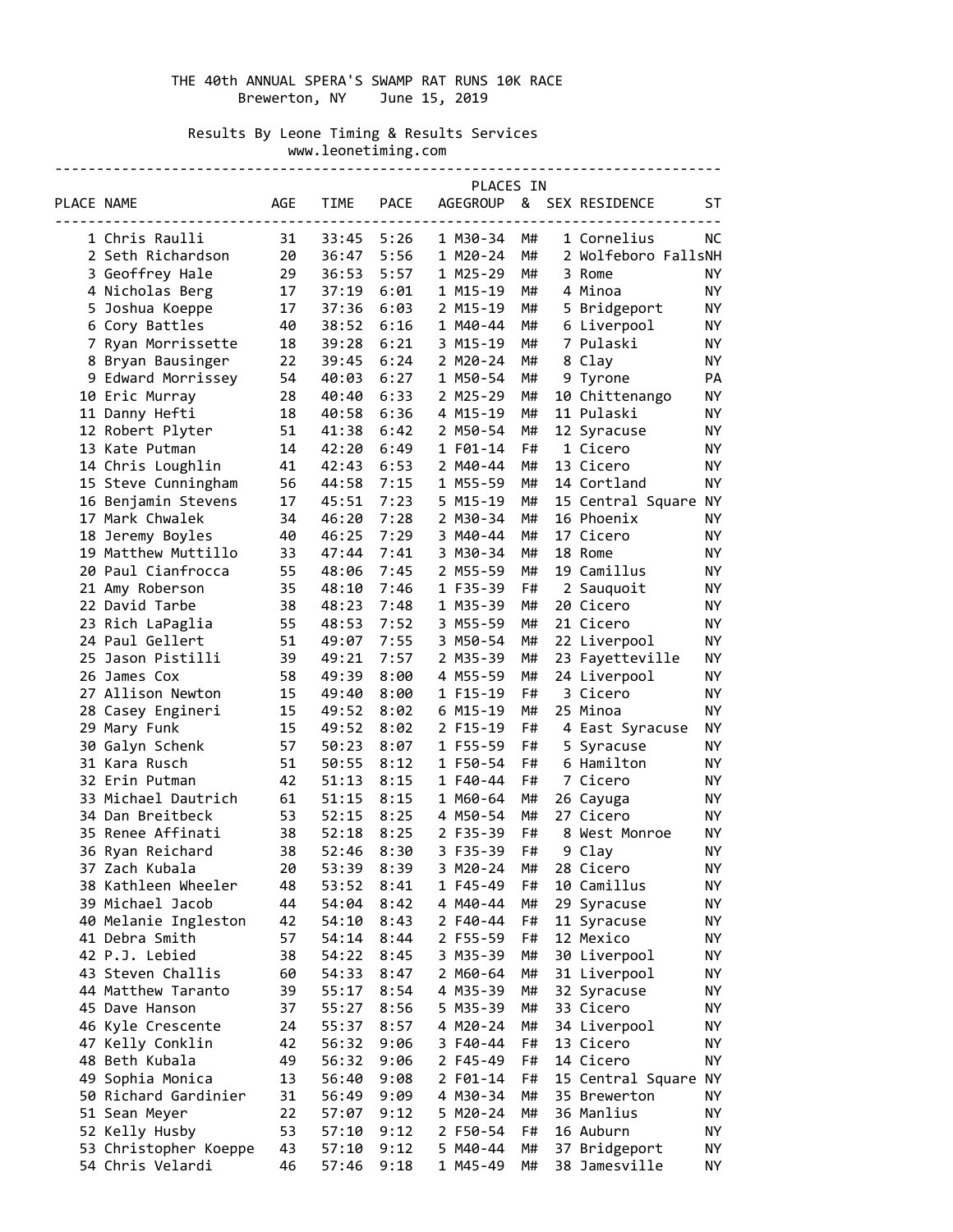# THE 40th ANNUAL SPERA'S SWAMP RAT RUNS 10K RACE Brewerton, NY June 15, 2019

 Results By Leone Timing & Results Services www.leonetiming.com

--------------------------------------------------------------------------------

|            |                       |     |             |             | PLACES IN       |    |                      |           |
|------------|-----------------------|-----|-------------|-------------|-----------------|----|----------------------|-----------|
| PLACE NAME |                       | AGE | <b>TIME</b> | <b>PACE</b> | <b>AGEGROUP</b> |    | & SEX RESIDENCE      | ST        |
|            | 1 Chris Raulli        | 31  | 33:45       | 5:26        | 1 M30-34        | M# | 1 Cornelius          | NС        |
|            | 2 Seth Richardson     | 20  | 36:47       | 5:56        | 1 M20-24        | M# | 2 Wolfeboro FallsNH  |           |
|            | 3 Geoffrey Hale       | 29  | 36:53       | 5:57        | 1 M25-29        | M# | 3 Rome               | ΝY        |
|            | 4 Nicholas Berg       | 17  | 37:19       | 6:01        | 1 M15-19        | M# | 4 Minoa              | NY        |
|            | 5 Joshua Koeppe       | 17  | 37:36       | 6:03        | 2 M15-19        | M# | 5 Bridgeport         | ΝY        |
|            | 6 Cory Battles        | 40  | 38:52       | 6:16        | 1 M40-44        | M# | 6 Liverpool          | ΝY        |
|            | 7 Ryan Morrissette    | 18  | 39:28       | 6:21        | 3 M15-19        | M# | 7 Pulaski            | ΝY        |
|            | 8 Bryan Bausinger     | 22  | 39:45       | 6:24        | 2 M20-24        | M# | 8 Clay               | NY        |
|            | 9 Edward Morrissey    | 54  | 40:03       | 6:27        | 1 M50-54        | M# | 9 Tyrone             | PA        |
|            | 10 Eric Murray        | 28  | 40:40       | 6:33        | 2 M25-29        | M# | 10 Chittenango       | ΝY        |
|            | 11 Danny Hefti        | 18  | 40:58       | 6:36        | 4 M15-19        | M# | 11 Pulaski           | NY        |
|            | 12 Robert Plyter      | 51  | 41:38       | 6:42        | 2 M50-54        | M# | 12 Syracuse          | NY        |
|            | 13 Kate Putman        | 14  | 42:20       | 6:49        | 1 F01-14        | F# | 1 Cicero             | NY        |
|            | 14 Chris Loughlin     | 41  | 42:43       | 6:53        | 2 M40-44        | M# | 13 Cicero            | NY        |
|            | 15 Steve Cunningham   | 56  | 44:58       | 7:15        | 1 M55-59        | M# | 14 Cortland          | ΝY        |
|            | 16 Benjamin Stevens   | 17  | 45:51       | 7:23        | 5 M15-19        | M# | 15 Central Square NY |           |
|            | 17 Mark Chwalek       | 34  | 46:20       | 7:28        | 2 M30-34        | M# | 16 Phoenix           | ΝY        |
|            | 18 Jeremy Boyles      | 40  | 46:25       | 7:29        | 3 M40-44        | M# | 17 Cicero            | NY        |
|            | 19 Matthew Muttillo   | 33  | 47:44       | 7:41        | 3 M30-34        | M# | 18 Rome              | ΝY        |
|            | 20 Paul Cianfrocca    | 55  | 48:06       | 7:45        | 2 M55-59        | M# | 19 Camillus          | <b>NY</b> |
|            | 21 Amy Roberson       | 35  | 48:10       | 7:46        | 1 F35-39        | F# | 2 Sauquoit           | ΝY        |
|            | 22 David Tarbe        | 38  | 48:23       | 7:48        | 1 M35-39        | M# | 20 Cicero            | NY        |
|            | 23 Rich LaPaglia      | 55  | 48:53       | 7:52        | 3 M55-59        | M# | 21 Cicero            | ΝY        |
|            | 24 Paul Gellert       | 51  | 49:07       | 7:55        | 3 M50-54        | M# | 22 Liverpool         | NY        |
|            | 25 Jason Pistilli     | 39  | 49:21       | 7:57        | 2 M35-39        | M# | 23 Fayetteville      | ΝY        |
|            | 26 James Cox          | 58  | 49:39       | 8:00        | 4 M55-59        | M# | 24 Liverpool         | ΝY        |
|            | 27 Allison Newton     | 15  | 49:40       | 8:00        | 1 F15-19        | F# | 3 Cicero             | ΝY        |
|            | 28 Casey Engineri     | 15  | 49:52       | 8:02        | 6 M15-19        | M# | 25 Minoa             | ΝY        |
|            | 29 Mary Funk          | 15  | 49:52       | 8:02        | 2 F15-19        | F# | 4 East Syracuse      | ΝY        |
|            | 30 Galyn Schenk       | 57  | 50:23       | 8:07        | 1 F55-59        | F# | 5 Syracuse           | ΝY        |
|            | 31 Kara Rusch         | 51  | 50:55       | 8:12        | 1 F50-54        | F# | 6 Hamilton           | NY        |
|            | 32 Erin Putman        | 42  | 51:13       | 8:15        | 1 F40-44        | F# | 7 Cicero             | NY        |
|            | 33 Michael Dautrich   | 61  | 51:15       | 8:15        | 1 M60-64        | M# | 26 Cayuga            | NY        |
|            | 34 Dan Breitbeck      | 53  | 52:15       | 8:25        | 4 M50-54        | M# | 27 Cicero            | ΝY        |
|            | 35 Renee Affinati     | 38  | 52:18       | 8:25        | 2 F35-39        | F# | 8 West Monroe        | ΝY        |
|            | 36 Ryan Reichard      | 38  | 52:46       | 8:30        | 3 F35-39        | F# | 9 Clay               | ΝY        |
|            | 37 Zach Kubala        | 20  | 53:39       | 8:39        | 3 M20-24        | M# | 28 Cicero            | ΝY        |
|            | 38 Kathleen Wheeler   | 48  | 53:52       | 8:41        | 1 F45-49        | F# | 10 Camillus          | NY        |
|            | 39 Michael Jacob      | 44  | 54:04       | 8:42        | 4 M40-44        | M# | 29 Syracuse          | ΝY        |
|            | 40 Melanie Ingleston  | 42  | 54:10       | 8:43        | 2 F40-44        | F# | 11 Syracuse          | ΝY        |
|            | 41 Debra Smith        | 57  | 54:14       | 8:44        | 2 F55-59        | F# | 12 Mexico            | ΝY        |
|            | 42 P.J. Lebied        | 38  | 54:22       | 8:45        | 3 M35-39        | M# | 30 Liverpool         | ΝY        |
|            | 43 Steven Challis     | 60  | 54:33       | 8:47        | 2 M60-64        | M# | 31 Liverpool         | ΝY        |
|            | 44 Matthew Taranto    | 39  | 55:17       | 8:54        | 4 M35-39        | M# | 32 Syracuse          | ΝY        |
|            | 45 Dave Hanson        | 37  | 55:27       | 8:56        | 5 M35-39        | M# | 33 Cicero            | ΝY        |
|            | 46 Kyle Crescente     | 24  | 55:37       | 8:57        | 4 M20-24        | M# | 34 Liverpool         | ΝY        |
|            | 47 Kelly Conklin      | 42  | 56:32       | 9:06        | 3 F40-44        | F# | 13 Cicero            | ΝY        |
|            | 48 Beth Kubala        | 49  | 56:32       | 9:06        | 2 F45-49        | F# | 14 Cicero            | ΝY        |
|            | 49 Sophia Monica      | 13  | 56:40       | 9:08        | 2 F01-14        | F# | 15 Central Square NY |           |
|            | 50 Richard Gardinier  | 31  | 56:49       | 9:09        | 4 M30-34        | M# | 35 Brewerton         | ΝY        |
|            | 51 Sean Meyer         | 22  | 57:07       | 9:12        | 5 M20-24        | M# | 36 Manlius           | ΝY        |
|            | 52 Kelly Husby        | 53  | 57:10       | 9:12        | 2 F50-54        | F# | 16 Auburn            | NΥ        |
|            | 53 Christopher Koeppe | 43  | 57:10       | 9:12        | 5 M40-44        | M# | 37 Bridgeport        | NΥ        |
|            | 54 Chris Velardi      | 46  | 57:46       | 9:18        | 1 M45-49        | M# | 38 Jamesville        | ΝY        |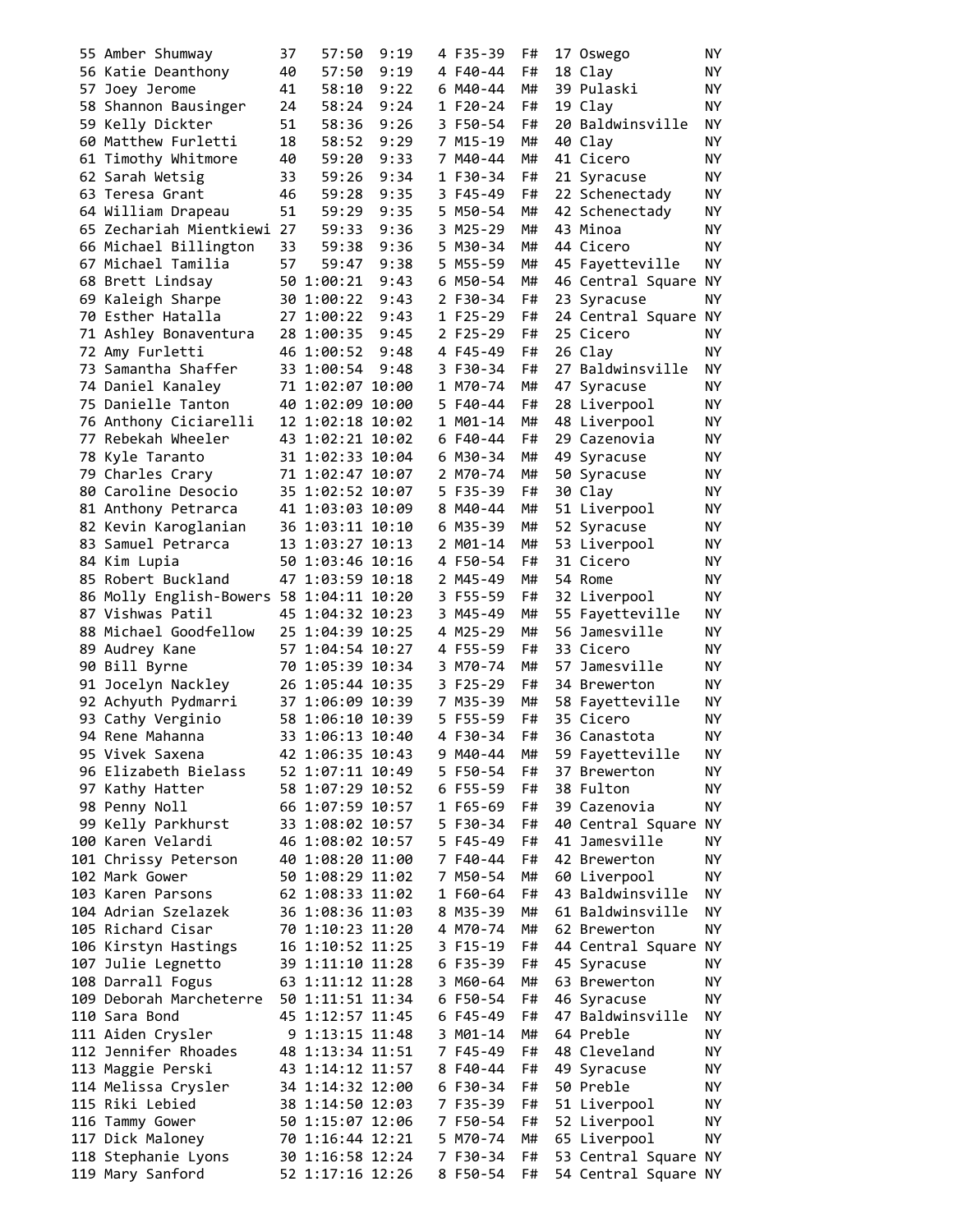| 55 Amber Shumway                         | 37 | 57:50            | 9:19 | 4 F35-39 | F# | 17 Oswego            | NY. |
|------------------------------------------|----|------------------|------|----------|----|----------------------|-----|
| 56 Katie Deanthony                       | 40 | 57:50            | 9:19 | 4 F40-44 | F# | 18 Clay              | NY. |
| 57 Joey Jerome                           | 41 | 58:10            | 9:22 | 6 M40-44 | M# | 39 Pulaski           | ΝY  |
| 58 Shannon Bausinger                     | 24 | 58:24            | 9:24 | 1 F20-24 | F# | 19 Clav              | ΝY  |
| 59 Kelly Dickter                         | 51 | 58:36            | 9:26 | 3 F50-54 | F# | 20 Baldwinsville     | ΝY  |
| 60 Matthew Furletti                      | 18 | 58:52            | 9:29 | 7 M15-19 | M# | 40 Clay              | ΝY  |
| 61 Timothy Whitmore                      | 40 | 59:20            | 9:33 | 7 M40-44 | M# | 41 Cicero            | ΝY  |
| 62 Sarah Wetsig                          | 33 | 59:26            | 9:34 | 1 F30-34 | F# | 21 Syracuse          | ΝY  |
| 63 Teresa Grant                          | 46 | 59:28            | 9:35 | 3 F45-49 | F# | 22 Schenectady       | NY  |
| 64 William Drapeau                       | 51 | 59:29            | 9:35 | 5 M50-54 | M# | 42 Schenectady       | ΝY  |
| 65 Zechariah Mientkiewi 27               |    | 59:33            | 9:36 | 3 M25-29 | M# | 43 Minoa             | NY  |
| 66 Michael Billington                    |    | 59:38            | 9:36 | 5 M30-34 | M# | 44 Cicero            | ΝY  |
|                                          | 33 |                  |      |          |    |                      |     |
| 67 Michael Tamilia                       | 57 | 59:47            | 9:38 | 5 M55-59 | M# | 45 Fayetteville      | ΝY  |
| 68 Brett Lindsay                         |    | 50 1:00:21       | 9:43 | 6 M50-54 | M# | 46 Central Square    | ΝY  |
| 69 Kaleigh Sharpe                        |    | 30 1:00:22       | 9:43 | 2 F30-34 | F# | 23 Syracuse          | ΝY  |
| 70 Esther Hatalla                        |    | 27 1:00:22       | 9:43 | 1 F25-29 | F# | 24 Central Square NY |     |
| 71 Ashley Bonaventura                    |    | 28 1:00:35       | 9:45 | 2 F25-29 | F# | 25 Cicero            | ΝY  |
| 72 Amy Furletti                          |    | 46 1:00:52       | 9:48 | 4 F45-49 | F# | 26 Clay              | NY  |
| 73 Samantha Shaffer                      |    | 33 1:00:54       | 9:48 | 3 F30-34 | F# | 27 Baldwinsville     | ΝY  |
| 74 Daniel Kanalev                        |    | 71 1:02:07 10:00 |      | 1 M70-74 | M# | 47 Syracuse          | ΝY  |
| 75 Danielle Tanton                       |    | 40 1:02:09 10:00 |      | 5 F40-44 | F# | 28 Liverpool         | ΝY  |
| 76 Anthony Ciciarelli                    |    | 12 1:02:18 10:02 |      | 1 M01-14 | M# | 48 Liverpool         | ΝY  |
| 77 Rebekah Wheeler                       |    | 43 1:02:21 10:02 |      | 6 F40-44 | F# | 29 Cazenovia         | ΝY  |
| 78 Kyle Taranto                          |    | 31 1:02:33 10:04 |      | 6 M30-34 | M# | 49 Syracuse          | ΝY  |
| 79 Charles Crary                         |    | 71 1:02:47 10:07 |      | 2 M70-74 | M# | 50 Syracuse          | ΝY  |
| 80 Caroline Desocio                      |    | 35 1:02:52 10:07 |      | 5 F35-39 | F# | 30 Clay              | NY  |
| 81 Anthony Petrarca                      |    | 41 1:03:03 10:09 |      | 8 M40-44 | M# | 51 Liverpool         | ΝY  |
| 82 Kevin Karoglanian                     |    | 36 1:03:11 10:10 |      | 6 M35-39 | M# | 52 Syracuse          | ΝY  |
| 83 Samuel Petrarca                       |    | 13 1:03:27 10:13 |      | 2 M01-14 | M# | 53 Liverpool         | ΝY  |
| 84 Kim Lupia                             |    | 50 1:03:46 10:16 |      | 4 F50-54 | F# | 31 Cicero            | NΥ  |
| 85 Robert Buckland                       |    | 47 1:03:59 10:18 |      | 2 M45-49 | M# | 54 Rome              | ΝY  |
| 86 Molly English-Bowers 58 1:04:11 10:20 |    |                  |      | 3 F55-59 | F# |                      | ΝY  |
| 87 Vishwas Patil                         |    |                  |      | 3 M45-49 | M# | 32 Liverpool         | ΝY  |
|                                          |    | 45 1:04:32 10:23 |      |          |    | 55 Fayetteville      |     |
| 88 Michael Goodfellow                    |    | 25 1:04:39 10:25 |      | 4 M25-29 | M# | 56 Jamesville        | ΝY  |
| 89 Audrey Kane                           |    | 57 1:04:54 10:27 |      | 4 F55-59 | F# | 33 Cicero            | ΝY  |
| 90 Bill Byrne                            |    | 70 1:05:39 10:34 |      | 3 M70-74 | M# | 57 Jamesville        | ΝY  |
| 91 Jocelyn Nackley                       |    | 26 1:05:44 10:35 |      | 3 F25-29 | F# | 34 Brewerton         | ΝY  |
| 92 Achyuth Pydmarri                      |    | 37 1:06:09 10:39 |      | 7 M35-39 | M# | 58 Fayetteville      | ΝY  |
| 93 Cathy Verginio                        |    | 58 1:06:10 10:39 |      | 5 F55-59 | F# | 35 Cicero            | NΥ  |
| 94 Rene Mahanna                          |    | 33 1:06:13 10:40 |      | 4 F30-34 | F# | 36 Canastota         | ΝY  |
| 95 Vivek Saxena                          |    | 42 1:06:35 10:43 |      | 9 M40-44 | M# | 59 Fayetteville      | NY  |
| 96 Elizabeth Bielass                     |    | 52 1:07:11 10:49 |      | 5 F50-54 | F# | 37 Brewerton         | NΥ  |
| 97 Kathy Hatter                          |    | 58 1:07:29 10:52 |      | 6 F55-59 | F# | 38 Fulton            | ΝY  |
| 98 Penny Noll                            |    | 66 1:07:59 10:57 |      | 1 F65-69 | F# | 39 Cazenovia         | ΝY  |
| 99 Kelly Parkhurst                       |    | 33 1:08:02 10:57 |      | 5 F30-34 | F# | 40 Central Square    | ΝY  |
| 100 Karen Velardi                        |    | 46 1:08:02 10:57 |      | 5 F45-49 | F# | 41 Jamesville        | ΝY  |
| 101 Chrissy Peterson                     |    | 40 1:08:20 11:00 |      | 7 F40-44 | F# | 42 Brewerton         | NY. |
| 102 Mark Gower                           |    | 50 1:08:29 11:02 |      | 7 M50-54 | M# | 60 Liverpool         | NY. |
| 103 Karen Parsons                        |    | 62 1:08:33 11:02 |      | 1 F60-64 | F# | 43 Baldwinsville     | ΝY  |
| 104 Adrian Szelazek                      |    | 36 1:08:36 11:03 |      | 8 M35-39 | M# | 61 Baldwinsville     | ΝY  |
| 105 Richard Cisar                        |    | 70 1:10:23 11:20 |      | 4 M70-74 | M# | 62 Brewerton         | ΝY  |
| 106 Kirstyn Hastings                     |    | 16 1:10:52 11:25 |      | 3 F15-19 | F# | 44 Central Square NY |     |
| 107 Julie Legnetto                       |    | 39 1:11:10 11:28 |      | 6 F35-39 | F# | 45 Syracuse          | ΝY  |
|                                          |    |                  |      |          |    | 63 Brewerton         |     |
| 108 Darrall Fogus                        |    | 63 1:11:12 11:28 |      | 3 M60-64 | M# |                      | ΝY  |
| 109 Deborah Marcheterre                  |    | 50 1:11:51 11:34 |      | 6 F50-54 | F# | 46 Syracuse          | ΝY  |
| 110 Sara Bond                            |    | 45 1:12:57 11:45 |      | 6 F45-49 | F# | 47 Baldwinsville     | NY. |
| 111 Aiden Crysler                        |    | 9 1:13:15 11:48  |      | 3 M01-14 | M# | 64 Preble            | ΝY  |
| 112 Jennifer Rhoades                     |    | 48 1:13:34 11:51 |      | 7 F45-49 | F# | 48 Cleveland         | ΝY  |
| 113 Maggie Perski                        |    | 43 1:14:12 11:57 |      | 8 F40-44 | F# | 49 Syracuse          | NY. |
| 114 Melissa Crysler                      |    | 34 1:14:32 12:00 |      | 6 F30-34 | F# | 50 Preble            | NY. |
| 115 Riki Lebied                          |    | 38 1:14:50 12:03 |      | 7 F35-39 | F# | 51 Liverpool         | ΝY  |
| 116 Tammy Gower                          |    | 50 1:15:07 12:06 |      | 7 F50-54 | F# | 52 Liverpool         | ΝY  |
| 117 Dick Maloney                         |    | 70 1:16:44 12:21 |      | 5 M70-74 | M# | 65 Liverpool         | NY. |
| 118 Stephanie Lyons                      |    | 30 1:16:58 12:24 |      | 7 F30-34 | F# | 53 Central Square NY |     |
| 119 Mary Sanford                         |    | 52 1:17:16 12:26 |      | 8 F50-54 | F# | 54 Central Square NY |     |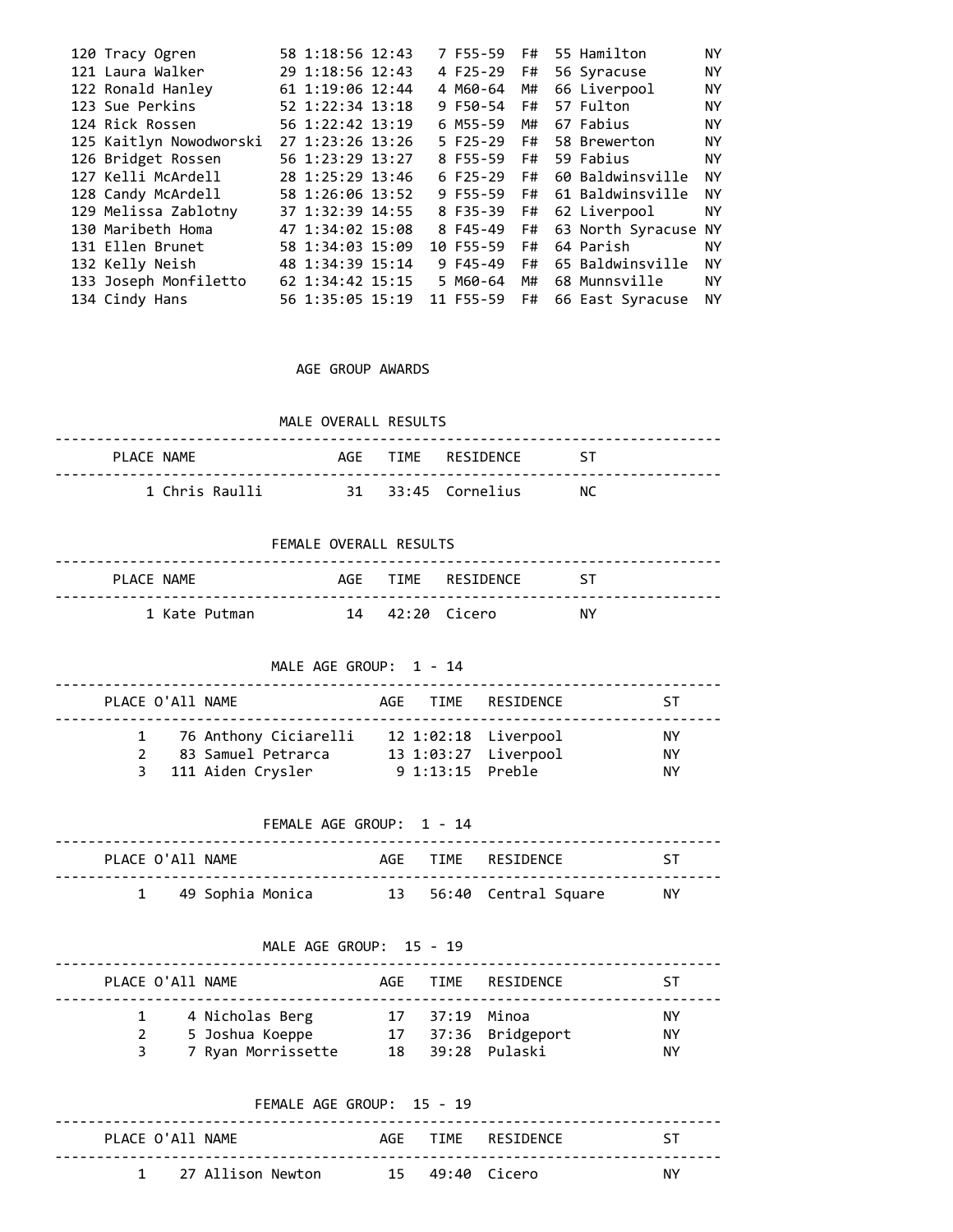| 120 Tracy Ogren         | 58 1:18:56 12:43 | 7 F55-59   | F# | 55 Hamilton             | ΝY        |
|-------------------------|------------------|------------|----|-------------------------|-----------|
| 121 Laura Walker        | 29 1:18:56 12:43 | 4 F25-29   | F# | 56 Syracuse             | <b>NY</b> |
| 122 Ronald Hanley       | 61 1:19:06 12:44 | 4 M60-64   | M# | 66 Liverpool            | ΝY        |
| 123 Sue Perkins         | 52 1:22:34 13:18 | 9 F50-54   | F# | 57 Fulton               | ΝY        |
| 124 Rick Rossen         | 56 1:22:42 13:19 | 6 M55-59   | M# | 67 Fabius               | <b>NY</b> |
| 125 Kaitlyn Nowodworski | 27 1:23:26 13:26 | $5 F25-29$ | F# | 58 Brewerton            | <b>NY</b> |
| 126 Bridget Rossen      | 56 1:23:29 13:27 | 8 F55-59   | F# | 59 Fabius               | ΝY        |
| 127 Kelli McArdell      | 28 1:25:29 13:46 | $6F25-29$  | F# | 60 Baldwinsville        | ΝY        |
| 128 Candy McArdell      | 58 1:26:06 13:52 | 9 F55-59   |    | F# 61 Baldwinsville     | ΝY        |
| 129 Melissa Zablotny    | 37 1:32:39 14:55 | 8 F35-39   | F# | 62 Liverpool            | <b>NY</b> |
| 130 Maribeth Homa       | 47 1:34:02 15:08 | 8 F45-49   |    | F# 63 North Syracuse NY |           |
| 131 Ellen Brunet        | 58 1:34:03 15:09 | 10 F55-59  | F# | 64 Parish               | ΝY        |
| 132 Kelly Neish         | 48 1:34:39 15:14 | 9 F45-49   | F# | 65 Baldwinsville        | ΝY        |
| 133 Joseph Monfiletto   | 62 1:34:42 15:15 | 5 M60-64   | M# | 68 Munnsville           | ΝY        |
| 134 Cindy Hans          | 56 1:35:05 15:19 | 11 F55-59  | F# | 66 East Syracuse        | ΝY        |
|                         |                  |            |    |                         |           |

AGE GROUP AWARDS

MALE OVERALL RESULTS

| PLACE NAMF     |  | AGF TTMF RESTDENCE ST |     |
|----------------|--|-----------------------|-----|
| 1 Chris Raulli |  | 31 33:45 Cornelius    | NC. |

FEMALE OVERALL RESULTS

| PLACE NAME    |  | AGE TIME RESIDENCE ST |    |
|---------------|--|-----------------------|----|
| 1 Kate Putman |  | 14 42:20 Cicero       | NΥ |

MALE AGE GROUP: 1 - 14

| PLACE O'All NAME |                                                                      | AGF TIME RESIDENCE                                               | ST.             |
|------------------|----------------------------------------------------------------------|------------------------------------------------------------------|-----------------|
| $\mathcal{P}$    | 1 76 Anthony Ciciarelli<br>83 Samuel Petrarca<br>3 111 Aiden Crysler | 12 1:02:18 Liverpool<br>13 1:03:27 Liverpool<br>9 1:13:15 Preble | NY.<br>ΝY<br>ΝY |

## FEMALE AGE GROUP: 1 - 14

| PLACE O'A11 NAME |                    |  | AGF TIME RESTDENCE      | $\sim$ 51 |
|------------------|--------------------|--|-------------------------|-----------|
|                  | 1 49 Sophia Monica |  | 13 56:40 Central Square | NY.       |

### MALE AGE GROUP: 15 - 19

|   | PLACE O'All NAME                   |                | AGE TIME RESTDENCE  | ST       |
|---|------------------------------------|----------------|---------------------|----------|
| 2 | 4 Nicholas Berg<br>5 Joshua Koeppe | 17 37:19 Minoa | 17 37:36 Bridgeport | ΝY<br>ΝY |
|   | 7 Ryan Morrissette                 |                | 18 39:28 Pulaski    | NY.      |

|                  | FFMALF AGF GROUP: $15 - 19$ |                 |                    |     |
|------------------|-----------------------------|-----------------|--------------------|-----|
| PLACE O'A11 NAME |                             |                 | AGE TIME RESIDENCE | ST. |
|                  | 1 27 Allison Newton         | 15 49:40 Cicero |                    | NY. |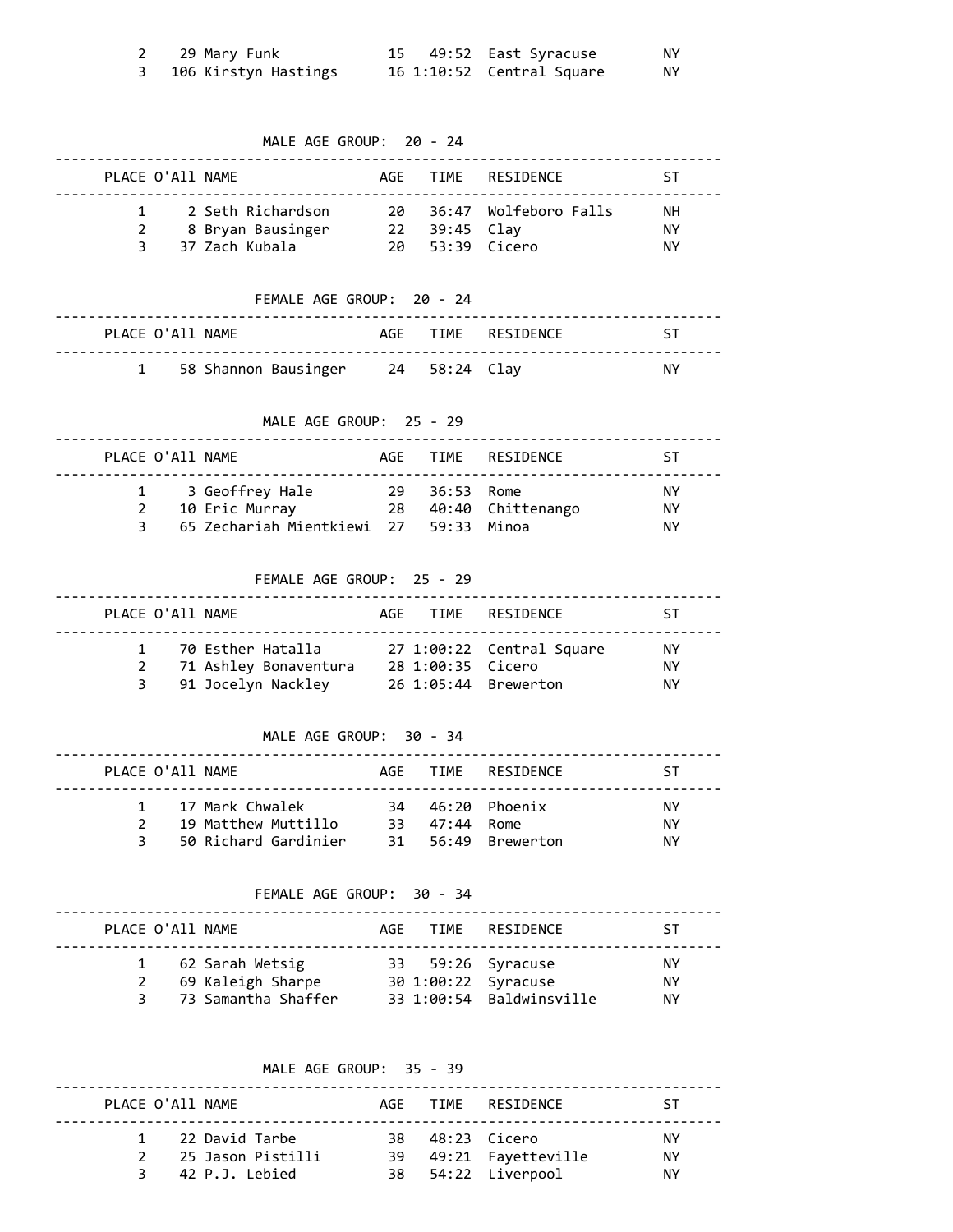| 29 Mary Funk         |  | 15 49:52 East Syracuse    | NΥ |
|----------------------|--|---------------------------|----|
| 106 Kirstyn Hastings |  | 16 1:10:52 Central Square | ΝY |

MALE AGE GROUP: 20 - 24

| PLACE O'All NAME |                   |      |               | AGE TIME RESIDENCE       | -ST |
|------------------|-------------------|------|---------------|--------------------------|-----|
|                  | 2 Seth Richardson |      |               | 20 36:47 Wolfeboro Falls | NН  |
|                  | 8 Bryan Bausinger |      | 22 39:45 Clay |                          | NY. |
| $\mathbf{R}$     | 37 Zach Kubala    | 20 I |               | 53:39 Cicero             | NΥ  |

FEMALE AGE GROUP: 20 - 24

|  | PLACE O'All NAME |                                      |  | AGF TIME RESIDENCE | 5. ST     |
|--|------------------|--------------------------------------|--|--------------------|-----------|
|  |                  | 1 58 Shannon Bausinger 24 58:24 Clay |  |                    | <b>NY</b> |

MALE AGE GROUP: 25 - 29

| PLACE O'All NAME                    |                                        |               | AGE TIME RESIDENCE   | sт                    |
|-------------------------------------|----------------------------------------|---------------|----------------------|-----------------------|
| 1 3 Geoffrey Hale<br>10 Eric Murray | 65 Zechariah Mientkiewi 27 59:33 Minoa | 29 36:53 Rome | 28 40:40 Chittenango | ΝY<br><b>NY</b><br>NΥ |

FEMALE AGE GROUP: 25 - 29

|              | PLACE O'All NAME |                       |                   | AGE TIME RESIDENCE        | -ST |
|--------------|------------------|-----------------------|-------------------|---------------------------|-----|
|              |                  | 1 70 Esther Hatalla   |                   | 27 1:00:22 Central Square | NY. |
| 2            |                  | 71 Ashley Bonaventura | 28 1:00:35 Cicero |                           | NY. |
| $\mathbf{3}$ |                  | 91 Jocelyn Nackley    |                   | 26 1:05:44 Brewerton      | ΝY  |

MALE AGE GROUP: 30 - 34

| PLACE O'All NAME   |                                                                  |               | AGE TIME RESIDENCE                     | -ST            |
|--------------------|------------------------------------------------------------------|---------------|----------------------------------------|----------------|
| $\mathcal{P}$<br>२ | 1 17 Mark Chwalek<br>19 Matthew Muttillo<br>50 Richard Gardinier | 33 47:44 Rome | 34 46:20 Phoenix<br>31 56:49 Brewerton | ΝY<br>ΝY<br>NΥ |

FEMALE AGE GROUP: 30 - 34

| PLACE O'All NAME |                                                                 |  | AGE TIME RESIDENCE                                                   | -ST             |
|------------------|-----------------------------------------------------------------|--|----------------------------------------------------------------------|-----------------|
| 2                | 1 62 Sarah Wetsig<br>69 Kaleigh Sharpe<br>3 73 Samantha Shaffer |  | 33 59:26 Syracuse<br>30 1:00:22 Syracuse<br>33 1:00:54 Baldwinsville | NY.<br>ΝY<br>ΝY |

MALE AGE GROUP: 35 - 39

|  | PLACE O'All NAME    |  | AGF TIME RESIDENCE    | -ST |
|--|---------------------|--|-----------------------|-----|
|  | 1 22 David Tarbe    |  | 38 48:23 Cicero       | NY. |
|  | 2 25 Jason Pistilli |  | 39 49:21 Fayetteville | NY. |
|  | 3 42 P.J. Lebied    |  | 38 54:22 Liverpool    | ΝY  |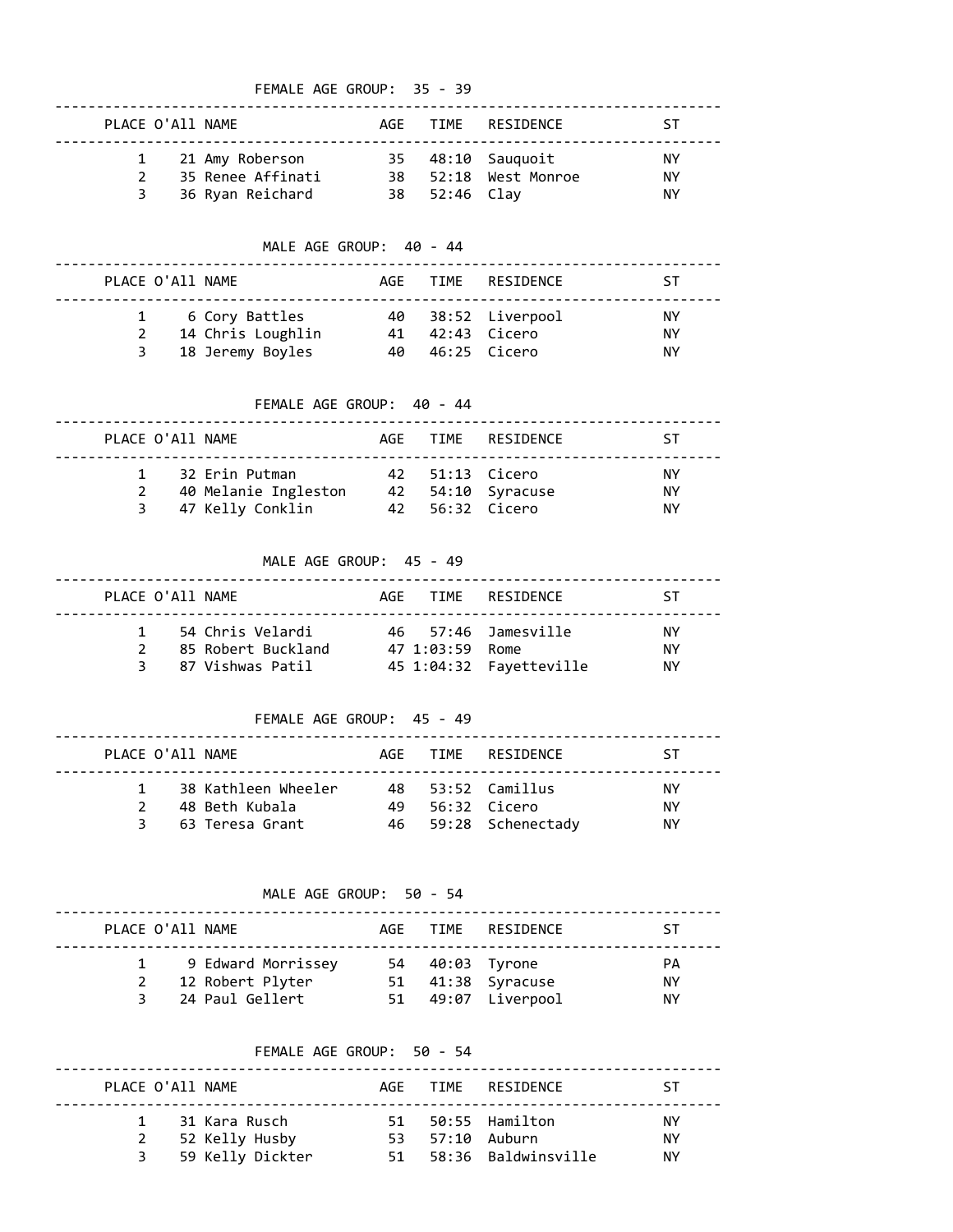## FEMALE AGE GROUP: 35 - 39

|               | PLACE O'All NAME  |               | AGE TIME RESIDENCE   | -ST |
|---------------|-------------------|---------------|----------------------|-----|
|               | 1 21 Amy Roberson |               | 35 48:10 Sauquoit    | NY. |
| $\mathcal{P}$ | 35 Renee Affinati |               | 38 52:18 West Monroe | ΝY  |
|               | 36 Ryan Reichard  | 38 52:46 Clay |                      | ΝY  |

MALE AGE GROUP: 40 - 44

| PLACE O'All NAME |                                                           |                                      | AGE TIME RESIDENCE | <b>ST</b>      |
|------------------|-----------------------------------------------------------|--------------------------------------|--------------------|----------------|
| 2<br>3           | 1 6 Cory Battles<br>14 Chris Loughlin<br>18 Jeremy Boyles | 41  42:43  Cicero<br>40 46:25 Cicero | 40 38:52 Liverpool | ΝY<br>ΝY<br>ΝY |

FEMALE AGE GROUP: 40 - 44

| PLACE O'All NAME |                                                            |  | AGE TIME RESIDENCE                                      | -ST                    |
|------------------|------------------------------------------------------------|--|---------------------------------------------------------|------------------------|
| 2<br>3           | 32 Erin Putman<br>40 Melanie Ingleston<br>47 Kelly Conklin |  | 42 51:13 Cicero<br>42 54:10 Syracuse<br>42 56:32 Cicero | <b>NY</b><br>ΝY<br>NY. |

MALE AGE GROUP: 45 - 49

| PLACE O'ATT NAME                                                              |                 | AGE TIME RESIDENCE                                | ST.              |
|-------------------------------------------------------------------------------|-----------------|---------------------------------------------------|------------------|
| 54 Chris Velardi<br>85 Robert Buckland<br>$\mathcal{P}$<br>3 87 Vishwas Patil | 47 1:03:59 Rome | 46 57:46 Jamesville<br>45 1:04:32    Favetteville | NY.<br>ΝY<br>NY. |

FEMALE AGE GROUP: 45 - 49

| PLACE O'All NAME |                     |     | AGF TIME RESIDENCE   | -ST |
|------------------|---------------------|-----|----------------------|-----|
|                  | 38 Kathleen Wheeler |     | 48 53:52 Camillus    | NY. |
|                  | 48 Beth Kubala      | 49. | 56:32 Cicero         | NY. |
|                  | 3 63 Teresa Grant   |     | 46 59:28 Schenectady | ΝY  |

MALE AGE GROUP: 50 - 54

| PLACE O'All NAME |                                                           |    | AGF TIME RESIDENCE                                      | ST                     |
|------------------|-----------------------------------------------------------|----|---------------------------------------------------------|------------------------|
|                  | 9 Edward Morrissey<br>12 Robert Plyter<br>24 Paul Gellert | 51 | 54 40:03 Tyrone<br>51 41:38 Syracuse<br>49:07 Liverpool | PА<br><b>NY</b><br>NY. |

## FEMALE AGE GROUP: 50 - 54

|   | PLACE O'All NAME |    | AGE TIME RESTDENCE  | -ST |
|---|------------------|----|---------------------|-----|
|   | 1 31 Kara Rusch  |    | 51 50:55 Hamilton   | NY. |
|   | 2 52 Kelly Husby |    | 53 57:10 Auburn     | NΥ  |
| 3 | 59 Kelly Dickter | 51 | 58:36 Baldwinsville | NΥ  |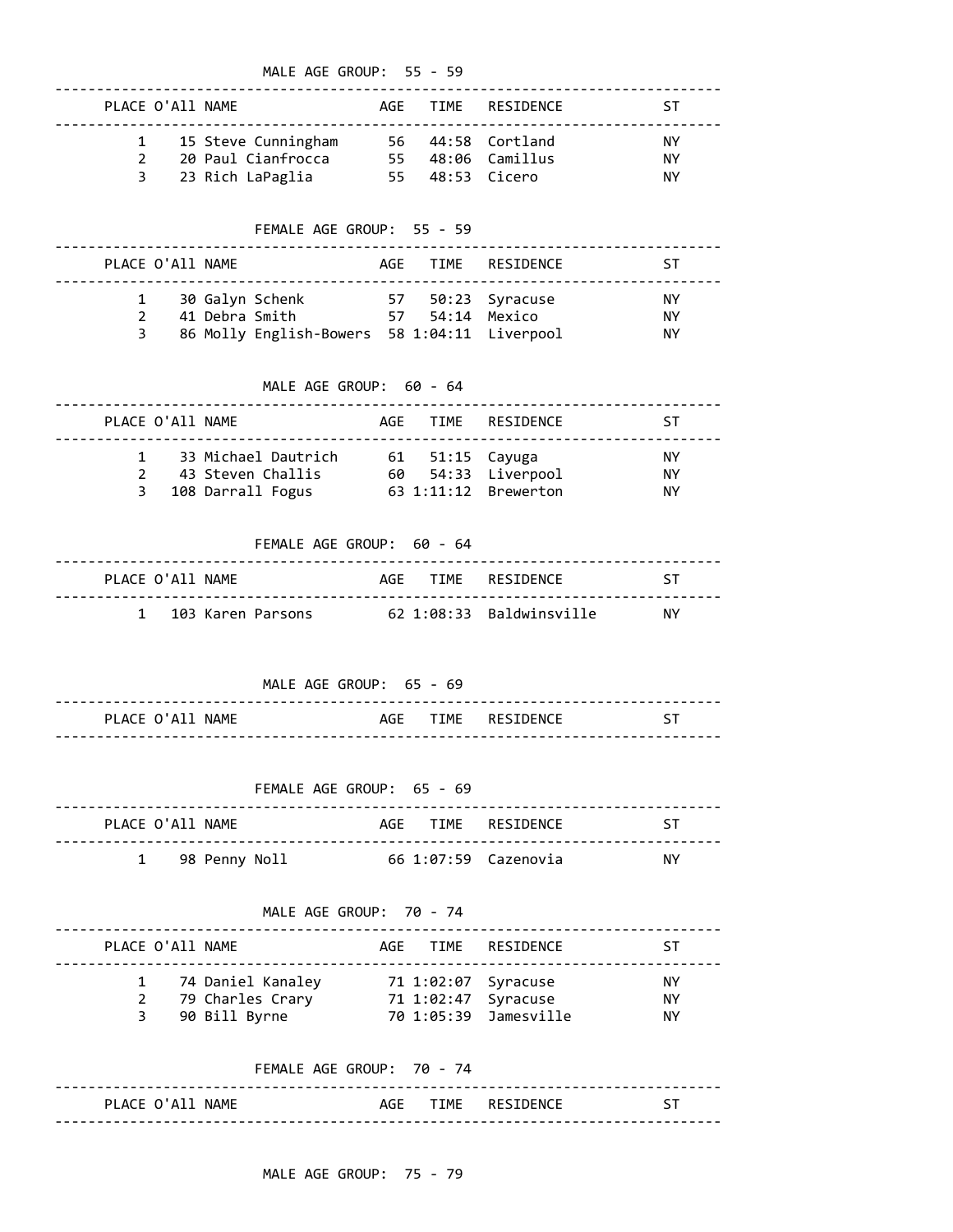| MALE AGE GROUP: 55 - 59   |                                                                                                                             |  |  |                    |                                     |  |
|---------------------------|-----------------------------------------------------------------------------------------------------------------------------|--|--|--------------------|-------------------------------------|--|
| PLACE O'All NAME          |                                                                                                                             |  |  | AGE TIME RESIDENCE | ST.                                 |  |
|                           | 1 15 Steve Cunningham 56 44:58 Cortland<br>2 20 Paul Cianfrocca 55 48:06 Camillus<br>3 23 Rich LaPaglia 55 48:53 Cicero     |  |  |                    | NY.<br><b>NY</b><br><b>NY</b>       |  |
| FEMALE AGE GROUP: 55 - 59 |                                                                                                                             |  |  |                    |                                     |  |
| PLACE O'All NAME          |                                                                                                                             |  |  | AGE TIME RESIDENCE | ST                                  |  |
| $\overline{3}$            | 1 30 Galyn Schenk 57 50:23 Syracuse<br>2 41 Debra Smith 57 54:14 Mexico<br>86 Molly English-Bowers 58 1:04:11 Liverpool     |  |  |                    | NY.<br>NY.<br><b>NY</b>             |  |
|                           | MALE AGE GROUP: 60 - 64                                                                                                     |  |  |                    |                                     |  |
|                           | PLACE O'All NAME                                                                                                            |  |  | AGE TIME RESIDENCE | ST.                                 |  |
|                           | 1 33 Michael Dautrich 61 51:15 Cayuga<br>2 43 Steven Challis 60 54:33 Liverpool<br>3 108 Darrall Fogus 63 1:11:12 Brewerton |  |  |                    | <b>NY</b><br><b>NY</b><br><b>NY</b> |  |
| FEMALE AGE GROUP: 60 - 64 |                                                                                                                             |  |  |                    |                                     |  |
| PLACE O'All NAME          |                                                                                                                             |  |  | AGE TIME RESIDENCE | ST                                  |  |
| $1 \quad$                 | 103 Karen Parsons 62 1:08:33 Baldwinsville                                                                                  |  |  |                    | <b>NY</b>                           |  |

 MALE AGE GROUP: 65 - 69 -------------------------------------------------------------------------------- PLACE O'All NAME **AGE TIME** RESIDENCE ST --------------------------------------------------------------------------------

|                  | FFMALF AGF GROUP: $65 - 69$ |                      |     |
|------------------|-----------------------------|----------------------|-----|
| PLACE O'A11 NAME |                             | AGE TIME RESIDENCE   | -ST |
| 1 98 Penny Noll  |                             | 66 1:07:59 Cazenovia | NY. |

| MALE AGE GROUP: 70 - 74 |  |                                                          |  |  |                                                                     |                              |
|-------------------------|--|----------------------------------------------------------|--|--|---------------------------------------------------------------------|------------------------------|
| PLACE O'All NAME        |  |                                                          |  |  | AGE TIME RESIDENCE                                                  | sт                           |
|                         |  | 1 74 Daniel Kanaley<br>79 Charles Crary<br>90 Bill Byrne |  |  | 71 1:02:07 Syracuse<br>71 1:02:47 Syracuse<br>70 1:05:39 Jamesville | <b>NY</b><br><b>NY</b><br>ΝY |

|                  | FEMALE AGE GROUP: 70 - 74 |  |                       |  |
|------------------|---------------------------|--|-----------------------|--|
| PLACE O'All NAME |                           |  | AGF TIME RESTDENCE ST |  |
|                  |                           |  |                       |  |